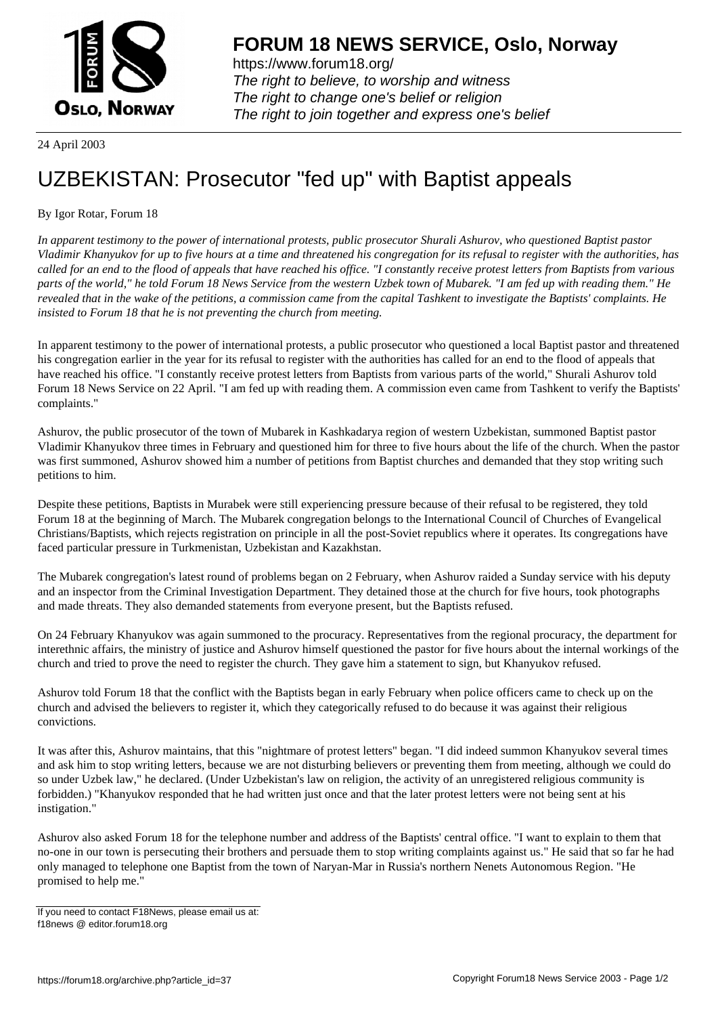

https://www.forum18.org/ The right to believe, to worship and witness The right to change one's belief or religion [The right to join together a](https://www.forum18.org/)nd express one's belief

24 April 2003

## [UZBEKISTAN:](https://www.forum18.org) Prosecutor "fed up" with Baptist appeals

## By Igor Rotar, Forum 18

*In apparent testimony to the power of international protests, public prosecutor Shurali Ashurov, who questioned Baptist pastor Vladimir Khanyukov for up to five hours at a time and threatened his congregation for its refusal to register with the authorities, has called for an end to the flood of appeals that have reached his office. "I constantly receive protest letters from Baptists from various parts of the world," he told Forum 18 News Service from the western Uzbek town of Mubarek. "I am fed up with reading them." He revealed that in the wake of the petitions, a commission came from the capital Tashkent to investigate the Baptists' complaints. He insisted to Forum 18 that he is not preventing the church from meeting.*

In apparent testimony to the power of international protests, a public prosecutor who questioned a local Baptist pastor and threatened his congregation earlier in the year for its refusal to register with the authorities has called for an end to the flood of appeals that have reached his office. "I constantly receive protest letters from Baptists from various parts of the world," Shurali Ashurov told Forum 18 News Service on 22 April. "I am fed up with reading them. A commission even came from Tashkent to verify the Baptists' complaints."

Ashurov, the public prosecutor of the town of Mubarek in Kashkadarya region of western Uzbekistan, summoned Baptist pastor Vladimir Khanyukov three times in February and questioned him for three to five hours about the life of the church. When the pastor was first summoned, Ashurov showed him a number of petitions from Baptist churches and demanded that they stop writing such petitions to him.

Despite these petitions, Baptists in Murabek were still experiencing pressure because of their refusal to be registered, they told Forum 18 at the beginning of March. The Mubarek congregation belongs to the International Council of Churches of Evangelical Christians/Baptists, which rejects registration on principle in all the post-Soviet republics where it operates. Its congregations have faced particular pressure in Turkmenistan, Uzbekistan and Kazakhstan.

The Mubarek congregation's latest round of problems began on 2 February, when Ashurov raided a Sunday service with his deputy and an inspector from the Criminal Investigation Department. They detained those at the church for five hours, took photographs and made threats. They also demanded statements from everyone present, but the Baptists refused.

On 24 February Khanyukov was again summoned to the procuracy. Representatives from the regional procuracy, the department for interethnic affairs, the ministry of justice and Ashurov himself questioned the pastor for five hours about the internal workings of the church and tried to prove the need to register the church. They gave him a statement to sign, but Khanyukov refused.

Ashurov told Forum 18 that the conflict with the Baptists began in early February when police officers came to check up on the church and advised the believers to register it, which they categorically refused to do because it was against their religious convictions.

It was after this, Ashurov maintains, that this "nightmare of protest letters" began. "I did indeed summon Khanyukov several times and ask him to stop writing letters, because we are not disturbing believers or preventing them from meeting, although we could do so under Uzbek law," he declared. (Under Uzbekistan's law on religion, the activity of an unregistered religious community is forbidden.) "Khanyukov responded that he had written just once and that the later protest letters were not being sent at his instigation."

Ashurov also asked Forum 18 for the telephone number and address of the Baptists' central office. "I want to explain to them that no-one in our town is persecuting their brothers and persuade them to stop writing complaints against us." He said that so far he had only managed to telephone one Baptist from the town of Naryan-Mar in Russia's northern Nenets Autonomous Region. "He promised to help me."

If you need to contact F18News, please email us at: f18news @ editor.forum18.org